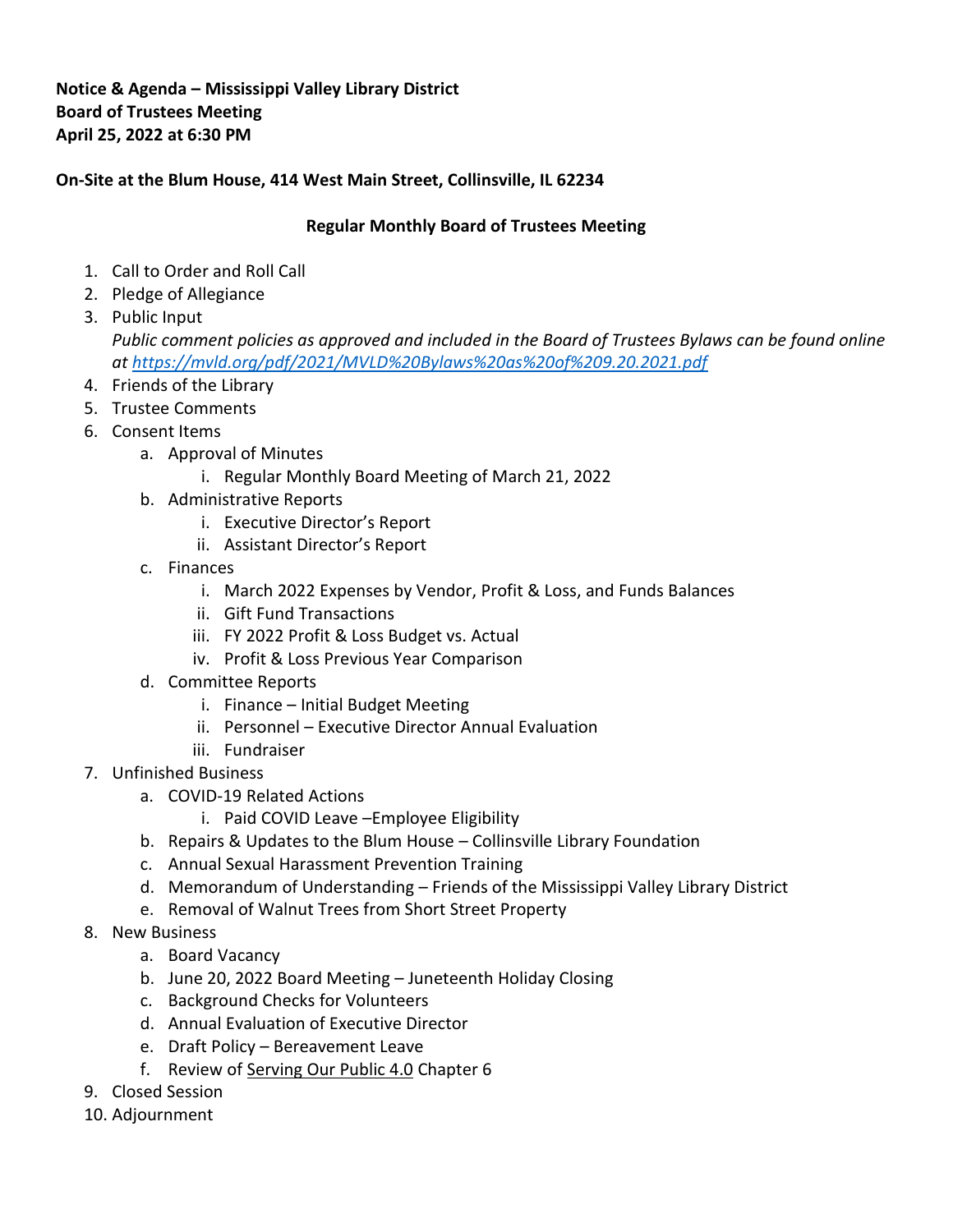## **Notice & Agenda – Mississippi Valley Library District Board of Trustees Meeting April 25, 2022 at 6:30 PM**

## **On-Site at the Blum House, 414 West Main Street, Collinsville, IL 62234**

## **Regular Monthly Board of Trustees Meeting**

- 1. Call to Order and Roll Call
- 2. Pledge of Allegiance
- 3. Public Input *Public comment policies as approved and included in the Board of Trustees Bylaws can be found online at<https://mvld.org/pdf/2021/MVLD%20Bylaws%20as%20of%209.20.2021.pdf>*
- 4. Friends of the Library
- 5. Trustee Comments
- 6. Consent Items
	- a. Approval of Minutes
		- i. Regular Monthly Board Meeting of March 21, 2022
	- b. Administrative Reports
		- i. Executive Director's Report
		- ii. Assistant Director's Report
	- c. Finances
		- i. March 2022 Expenses by Vendor, Profit & Loss, and Funds Balances
		- ii. Gift Fund Transactions
		- iii. FY 2022 Profit & Loss Budget vs. Actual
		- iv. Profit & Loss Previous Year Comparison
	- d. Committee Reports
		- i. Finance Initial Budget Meeting
		- ii. Personnel Executive Director Annual Evaluation
		- iii. Fundraiser
- 7. Unfinished Business
	- a. COVID-19 Related Actions
		- i. Paid COVID Leave –Employee Eligibility
	- b. Repairs & Updates to the Blum House Collinsville Library Foundation
	- c. Annual Sexual Harassment Prevention Training
	- d. Memorandum of Understanding Friends of the Mississippi Valley Library District
	- e. Removal of Walnut Trees from Short Street Property
- 8. New Business
	- a. Board Vacancy
	- b. June 20, 2022 Board Meeting Juneteenth Holiday Closing
	- c. Background Checks for Volunteers
	- d. Annual Evaluation of Executive Director
	- e. Draft Policy Bereavement Leave
	- f. Review of Serving Our Public 4.0 Chapter 6
- 9. Closed Session
- 10. Adjournment